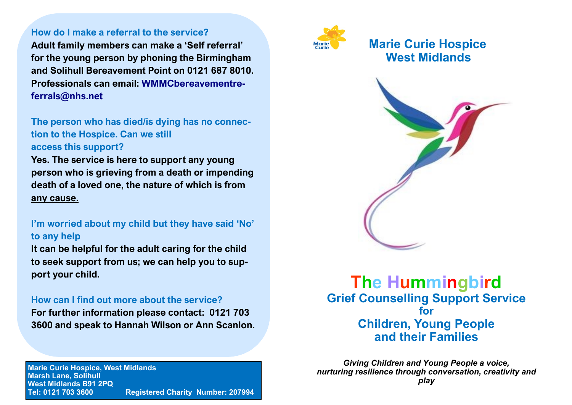#### **How do I make a referral to the service?**

**Adult family members can make a 'Self referral' for the young person by phoning the Birmingham and Solihull Bereavement Point on 0121 687 8010. Professionals can email: WMMCbereavementreferrals@nhs.net**

**The person who has died/is dying has no connection to the Hospice. Can we still access this support?**

**Yes. The service is here to support any young person who is grieving from a death or impending death of a loved one, the nature of which is from any cause.**

### **I'm worried about my child but they have said 'No' to any help**

**It can be helpful for the adult caring for the child to seek support from us; we can help you to support your child.**

### **How can I find out more about the service?**

**For further information please contact: 0121 703 3600 and speak to Hannah Wilson or Ann Scanlon.**

**Marie Curie Hospice, West Midlands Marsh Lane, Solihull West Midlands B91 2PQ Tel: 0121 703 3600 Registered Charity Number: 207994** 



# **Marie Curie Hospice West Midlands**



# **The Hummingbird Grief Counselling Support Service for Children, Young People and their Families**

*Giving Children and Young People a voice, nurturing resilience through conversation, creativity and play*